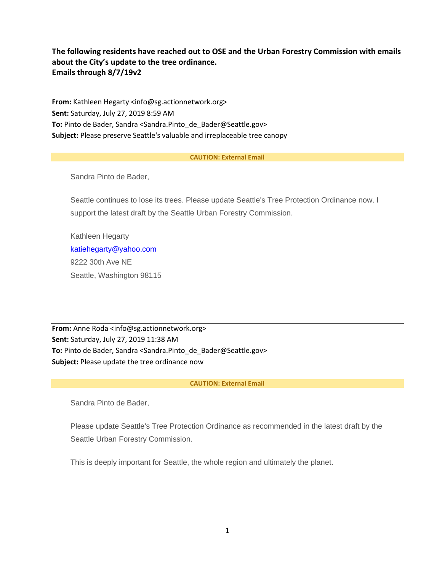# **The following residents have reached out to OSE and the Urban Forestry Commission with emails about the City's update to the tree ordinance. Emails through 8/7/19v2**

**From:** Kathleen Hegarty <info@sg.actionnetwork.org> **Sent:** Saturday, July 27, 2019 8:59 AM **To:** Pinto de Bader, Sandra <Sandra.Pinto\_de\_Bader@Seattle.gov> **Subject:** Please preserve Seattle's valuable and irreplaceable tree canopy

### **CAUTION: External Email**

Sandra Pinto de Bader,

Seattle continues to lose its trees. Please update Seattle's Tree Protection Ordinance now. I support the latest draft by the Seattle Urban Forestry Commission.

Kathleen Hegarty [katiehegarty@yahoo.com](mailto:katiehegarty@yahoo.com) 9222 30th Ave NE Seattle, Washington 98115

**From:** Anne Roda <info@sg.actionnetwork.org> **Sent:** Saturday, July 27, 2019 11:38 AM **To:** Pinto de Bader, Sandra <Sandra.Pinto\_de\_Bader@Seattle.gov> **Subject:** Please update the tree ordinance now

# **CAUTION: External Email**

Sandra Pinto de Bader,

Please update Seattle's Tree Protection Ordinance as recommended in the latest draft by the Seattle Urban Forestry Commission.

This is deeply important for Seattle, the whole region and ultimately the planet.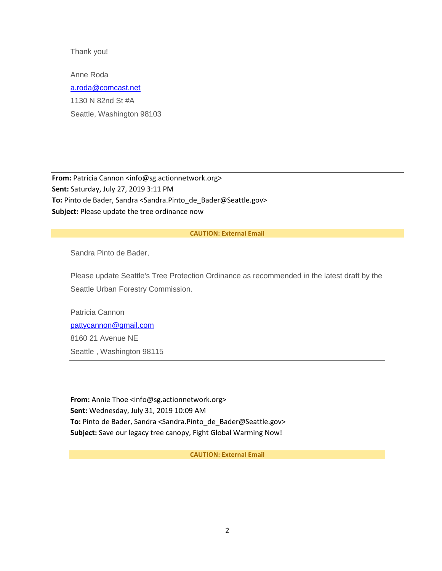Thank you!

Anne Roda [a.roda@comcast.net](mailto:a.roda@comcast.net) 1130 N 82nd St #A Seattle, Washington 98103

**From:** Patricia Cannon <info@sg.actionnetwork.org> **Sent:** Saturday, July 27, 2019 3:11 PM **To:** Pinto de Bader, Sandra <Sandra.Pinto\_de\_Bader@Seattle.gov> **Subject:** Please update the tree ordinance now

### **CAUTION: External Email**

Sandra Pinto de Bader,

Please update Seattle's Tree Protection Ordinance as recommended in the latest draft by the Seattle Urban Forestry Commission.

Patricia Cannon [pattycannon@gmail.com](mailto:pattycannon@gmail.com) 8160 21 Avenue NE Seattle , Washington 98115

**From:** Annie Thoe <info@sg.actionnetwork.org> **Sent:** Wednesday, July 31, 2019 10:09 AM **To:** Pinto de Bader, Sandra <Sandra.Pinto\_de\_Bader@Seattle.gov> **Subject:** Save our legacy tree canopy, Fight Global Warming Now!

**CAUTION: External Email**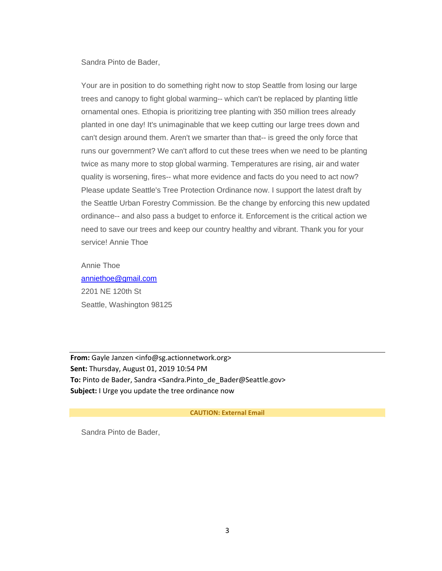Sandra Pinto de Bader,

Your are in position to do something right now to stop Seattle from losing our large trees and canopy to fight global warming-- which can't be replaced by planting little ornamental ones. Ethopia is prioritizing tree planting with 350 million trees already planted in one day! It's unimaginable that we keep cutting our large trees down and can't design around them. Aren't we smarter than that-- is greed the only force that runs our government? We can't afford to cut these trees when we need to be planting twice as many more to stop global warming. Temperatures are rising, air and water quality is worsening, fires-- what more evidence and facts do you need to act now? Please update Seattle's Tree Protection Ordinance now. I support the latest draft by the Seattle Urban Forestry Commission. Be the change by enforcing this new updated ordinance-- and also pass a budget to enforce it. Enforcement is the critical action we need to save our trees and keep our country healthy and vibrant. Thank you for your service! Annie Thoe

Annie Thoe [anniethoe@gmail.com](mailto:anniethoe@gmail.com) 2201 NE 120th St Seattle, Washington 98125

**From:** Gayle Janzen <info@sg.actionnetwork.org> **Sent:** Thursday, August 01, 2019 10:54 PM **To:** Pinto de Bader, Sandra <Sandra.Pinto\_de\_Bader@Seattle.gov> **Subject:** I Urge you update the tree ordinance now

### **CAUTION: External Email**

Sandra Pinto de Bader,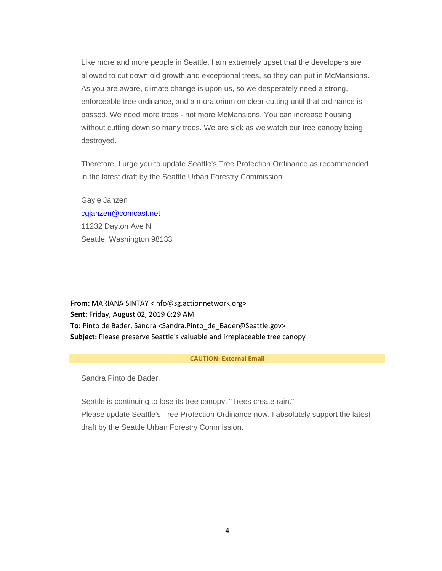Like more and more people in Seattle, I am extremely upset that the developers are allowed to cut down old growth and exceptional trees, so they can put in McMansions. As you are aware, climate change is upon us, so we desperately need a strong, enforceable tree ordinance, and a moratorium on clear cutting until that ordinance is passed. We need more trees - not more McMansions. You can increase housing without cutting down so many trees. We are sick as we watch our tree canopy being destroyed.

Therefore, I urge you to update Seattle's Tree Protection Ordinance as recommended in the latest draft by the Seattle Urban Forestry Commission.

Gayle Janzen [cgjanzen@comcast.net](mailto:cgjanzen@comcast.net) 11232 Dayton Ave N Seattle, Washington 98133

**From:** MARIANA SINTAY <info@sg.actionnetwork.org> **Sent:** Friday, August 02, 2019 6:29 AM **To:** Pinto de Bader, Sandra <Sandra.Pinto\_de\_Bader@Seattle.gov> **Subject:** Please preserve Seattle's valuable and irreplaceable tree canopy

### **CAUTION: External Email**

Sandra Pinto de Bader,

Seattle is continuing to lose its tree canopy. "Trees create rain." Please update Seattle's Tree Protection Ordinance now. I absolutely support the latest draft by the Seattle Urban Forestry Commission.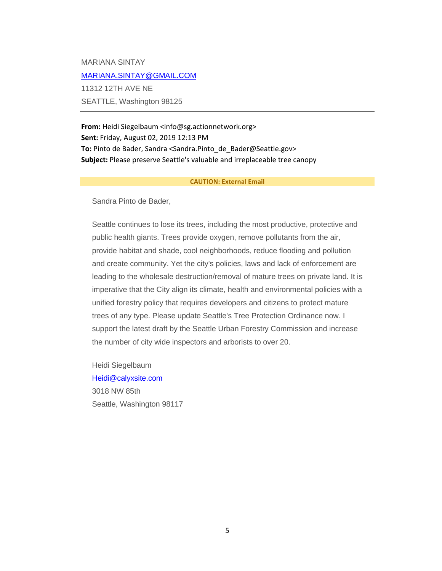MARIANA SINTAY [MARIANA.SINTAY@GMAIL.COM](mailto:MARIANA.SINTAY@GMAIL.COM) 11312 12TH AVE NE SEATTLE, Washington 98125

**From:** Heidi Siegelbaum <info@sg.actionnetwork.org> **Sent:** Friday, August 02, 2019 12:13 PM **To:** Pinto de Bader, Sandra <Sandra.Pinto\_de\_Bader@Seattle.gov> **Subject:** Please preserve Seattle's valuable and irreplaceable tree canopy

#### **CAUTION: External Email**

Sandra Pinto de Bader,

Seattle continues to lose its trees, including the most productive, protective and public health giants. Trees provide oxygen, remove pollutants from the air, provide habitat and shade, cool neighborhoods, reduce flooding and pollution and create community. Yet the city's policies, laws and lack of enforcement are leading to the wholesale destruction/removal of mature trees on private land. It is imperative that the City align its climate, health and environmental policies with a unified forestry policy that requires developers and citizens to protect mature trees of any type. Please update Seattle's Tree Protection Ordinance now. I support the latest draft by the Seattle Urban Forestry Commission and increase the number of city wide inspectors and arborists to over 20.

Heidi Siegelbaum [Heidi@calyxsite.com](mailto:Heidi@calyxsite.com) 3018 NW 85th Seattle, Washington 98117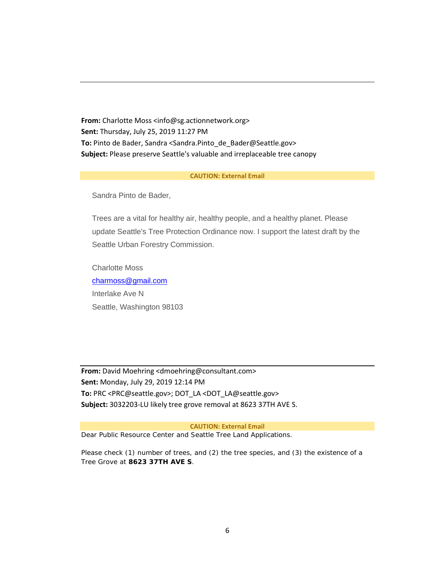**From:** Charlotte Moss <info@sg.actionnetwork.org> **Sent:** Thursday, July 25, 2019 11:27 PM **To:** Pinto de Bader, Sandra <Sandra.Pinto\_de\_Bader@Seattle.gov> **Subject:** Please preserve Seattle's valuable and irreplaceable tree canopy

### **CAUTION: External Email**

Sandra Pinto de Bader,

Trees are a vital for healthy air, healthy people, and a healthy planet. Please update Seattle's Tree Protection Ordinance now. I support the latest draft by the Seattle Urban Forestry Commission.

Charlotte Moss [charmoss@gmail.com](mailto:charmoss@gmail.com) Interlake Ave N Seattle, Washington 98103

**From:** David Moehring <dmoehring@consultant.com> **Sent:** Monday, July 29, 2019 12:14 PM **To:** PRC <PRC@seattle.gov>; DOT\_LA <DOT\_LA@seattle.gov> **Subject:** 3032203-LU likely tree grove removal at 8623 37TH AVE S.

**CAUTION: External Email**

Dear Public Resource Center and Seattle Tree Land Applications.

Please check (1) number of trees, and (2) the tree species, and (3) the existence of a Tree Grove at **8623 37TH AVE S**.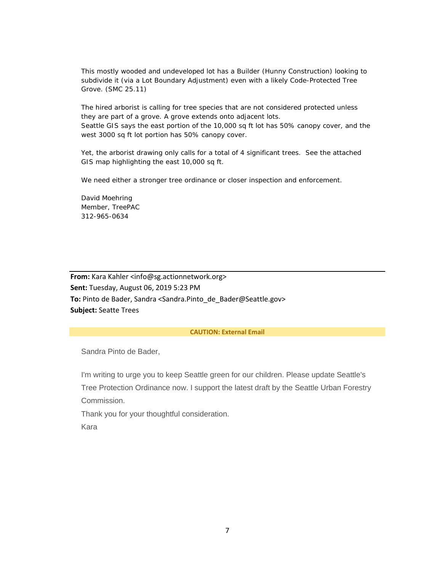This mostly wooded and undeveloped lot has a Builder (Hunny Construction) looking to subdivide it (via a Lot Boundary Adjustment) even with a likely Code-Protected Tree Grove. (SMC 25.11)

The hired arborist is calling for tree species that are not considered protected unless they are part of a grove. A grove extends onto adjacent lots. Seattle GIS says the east portion of the 10,000 sq ft lot has 50% canopy cover, and the west 3000 sq ft lot portion has 50% canopy cover.

Yet, the arborist drawing only calls for a total of 4 significant trees. See the attached GIS map highlighting the east 10,000 sq ft.

We need either a stronger tree ordinance or closer inspection and enforcement.

David Moehring Member, TreePAC 312-965-0634

**From:** Kara Kahler <info@sg.actionnetwork.org> **Sent:** Tuesday, August 06, 2019 5:23 PM **To:** Pinto de Bader, Sandra <Sandra.Pinto\_de\_Bader@Seattle.gov> **Subject:** Seatte Trees

### **CAUTION: External Email**

Sandra Pinto de Bader,

I'm writing to urge you to keep Seattle green for our children. Please update Seattle's Tree Protection Ordinance now. I support the latest draft by the Seattle Urban Forestry Commission.

Thank you for your thoughtful consideration.

Kara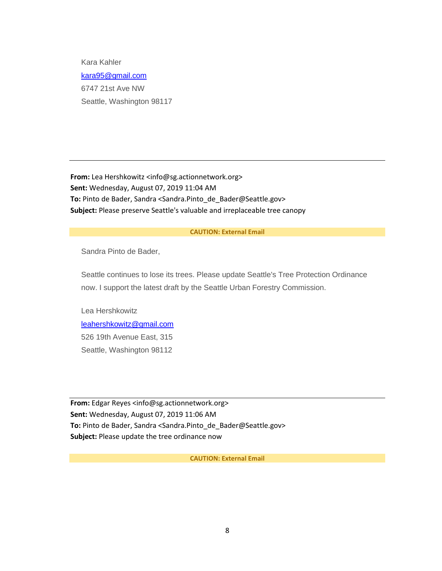Kara Kahler [kara95@gmail.com](mailto:kara95@gmail.com) 6747 21st Ave NW Seattle, Washington 98117

**From:** Lea Hershkowitz <info@sg.actionnetwork.org> **Sent:** Wednesday, August 07, 2019 11:04 AM **To:** Pinto de Bader, Sandra <Sandra.Pinto\_de\_Bader@Seattle.gov> **Subject:** Please preserve Seattle's valuable and irreplaceable tree canopy

### **CAUTION: External Email**

Sandra Pinto de Bader,

Seattle continues to lose its trees. Please update Seattle's Tree Protection Ordinance now. I support the latest draft by the Seattle Urban Forestry Commission.

Lea Hershkowitz [leahershkowitz@gmail.com](mailto:leahershkowitz@gmail.com) 526 19th Avenue East, 315 Seattle, Washington 98112

**From:** Edgar Reyes <info@sg.actionnetwork.org> **Sent:** Wednesday, August 07, 2019 11:06 AM **To:** Pinto de Bader, Sandra <Sandra.Pinto\_de\_Bader@Seattle.gov> **Subject:** Please update the tree ordinance now

**CAUTION: External Email**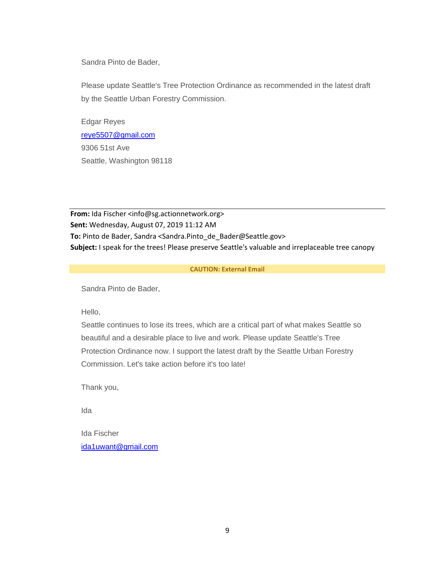Sandra Pinto de Bader,

Please update Seattle's Tree Protection Ordinance as recommended in the latest draft by the Seattle Urban Forestry Commission.

Edgar Reyes [reye5507@gmail.com](mailto:reye5507@gmail.com) 9306 51st Ave Seattle, Washington 98118

**From:** Ida Fischer <info@sg.actionnetwork.org> **Sent:** Wednesday, August 07, 2019 11:12 AM **To:** Pinto de Bader, Sandra <Sandra.Pinto\_de\_Bader@Seattle.gov> **Subject:** I speak for the trees! Please preserve Seattle's valuable and irreplaceable tree canopy

## **CAUTION: External Email**

Sandra Pinto de Bader,

Hello,

Seattle continues to lose its trees, which are a critical part of what makes Seattle so beautiful and a desirable place to live and work. Please update Seattle's Tree Protection Ordinance now. I support the latest draft by the Seattle Urban Forestry Commission. Let's take action before it's too late!

Thank you,

Ida

Ida Fischer [ida1uwant@gmail.com](mailto:ida1uwant@gmail.com)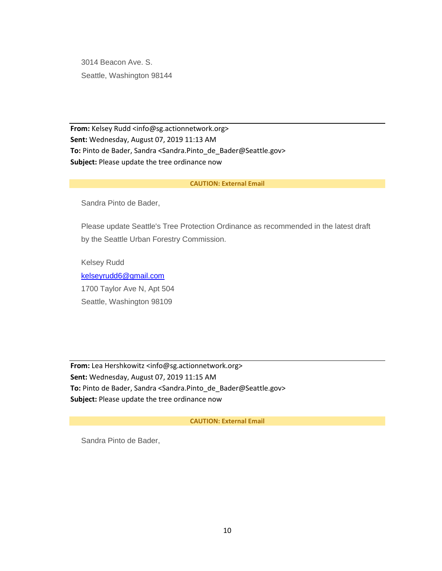3014 Beacon Ave. S. Seattle, Washington 98144

**From:** Kelsey Rudd <info@sg.actionnetwork.org> **Sent:** Wednesday, August 07, 2019 11:13 AM **To:** Pinto de Bader, Sandra <Sandra.Pinto\_de\_Bader@Seattle.gov> **Subject:** Please update the tree ordinance now

## **CAUTION: External Email**

Sandra Pinto de Bader,

Please update Seattle's Tree Protection Ordinance as recommended in the latest draft by the Seattle Urban Forestry Commission.

Kelsey Rudd [kelseyrudd6@gmail.com](mailto:kelseyrudd6@gmail.com) 1700 Taylor Ave N, Apt 504 Seattle, Washington 98109

**From:** Lea Hershkowitz <info@sg.actionnetwork.org> **Sent:** Wednesday, August 07, 2019 11:15 AM **To:** Pinto de Bader, Sandra <Sandra.Pinto\_de\_Bader@Seattle.gov> **Subject:** Please update the tree ordinance now

#### **CAUTION: External Email**

Sandra Pinto de Bader,